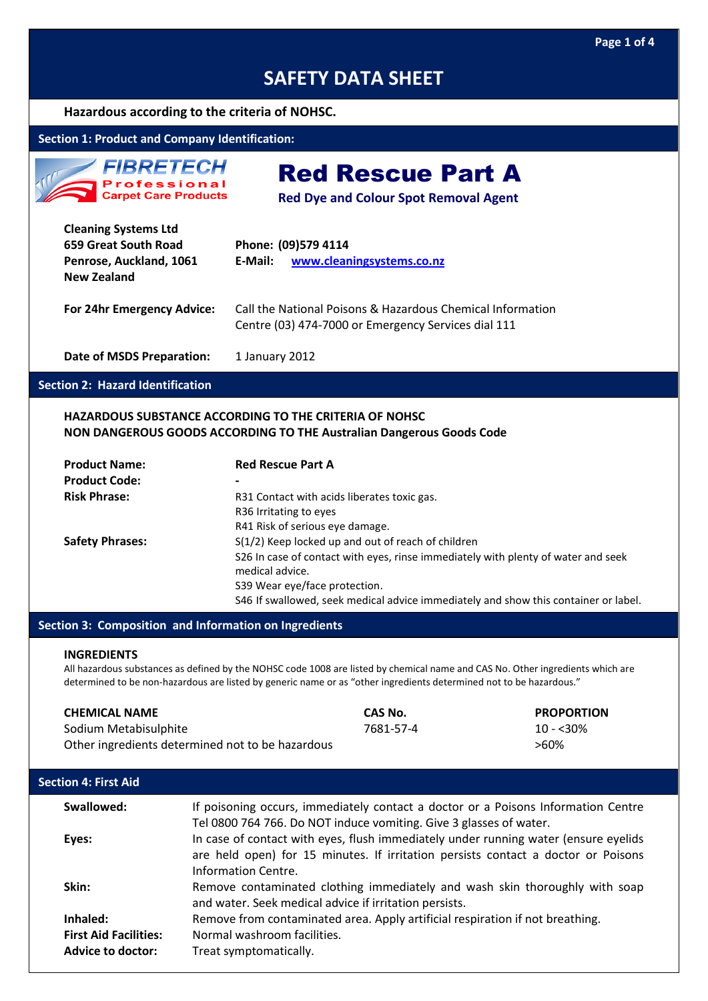### **Hazardous according to the criteria of NOHSC.**

### **Section 1: Product and Company Identification:**

| <b>FIBRETECH</b>                            |
|---------------------------------------------|
| <b>Professional</b><br>Carpet Care Products |

Red Rescue Part A

**Red Dye and Colour Spot Removal Agent**

| <b>Cleaning Systems Ltd</b><br>659 Great South Road<br>Penrose, Auckland, 1061<br>New Zealand | Phone: (09)579 4114<br>www.cleaningsystems.co.nz<br>E-Mail:                                                       |
|-----------------------------------------------------------------------------------------------|-------------------------------------------------------------------------------------------------------------------|
| For 24hr Emergency Advice:                                                                    | Call the National Poisons & Hazardous Chemical Information<br>Centre (03) 474-7000 or Emergency Services dial 111 |
| <b>Date of MSDS Preparation:</b>                                                              | 1 January 2012                                                                                                    |

#### **Section 2: Hazard Identification**

### **HAZARDOUS SUBSTANCE ACCORDING TO THE CRITERIA OF NOHSC NON DANGEROUS GOODS ACCORDING TO THE Australian Dangerous Goods Code**

| <b>Product Name:</b>   | <b>Red Rescue Part A</b>                                                            |
|------------------------|-------------------------------------------------------------------------------------|
| <b>Product Code:</b>   | $\,$                                                                                |
| <b>Risk Phrase:</b>    | R31 Contact with acids liberates toxic gas.                                         |
|                        | R <sub>36</sub> Irritating to eyes                                                  |
|                        | R41 Risk of serious eye damage.                                                     |
| <b>Safety Phrases:</b> | S(1/2) Keep locked up and out of reach of children                                  |
|                        | S26 In case of contact with eyes, rinse immediately with plenty of water and seek   |
|                        | medical advice.                                                                     |
|                        | S39 Wear eye/face protection.                                                       |
|                        | S46 If swallowed, seek medical advice immediately and show this container or label. |

### **Section 3: Composition and Information on Ingredients**

#### **INGREDIENTS**

All hazardous substances as defined by the NOHSC code 1008 are listed by chemical name and CAS No. Other ingredients which are determined to be non-hazardous are listed by generic name or as "other ingredients determined not to be hazardous."

### **CHEMICAL NAME CAS No. PROPORTION** Sodium Metabisulphite 7681-57-4 10 - <30%

Other ingredients determined not to be hazardous  $>60\%$ 

| <b>Section 4: First Aid</b>                              |                                                                                                                                                                                                 |
|----------------------------------------------------------|-------------------------------------------------------------------------------------------------------------------------------------------------------------------------------------------------|
| Swallowed:                                               | If poisoning occurs, immediately contact a doctor or a Poisons Information Centre<br>Tel 0800 764 766. Do NOT induce vomiting. Give 3 glasses of water.                                         |
| Eyes:                                                    | In case of contact with eyes, flush immediately under running water (ensure eyelids<br>are held open) for 15 minutes. If irritation persists contact a doctor or Poisons<br>Information Centre. |
| Skin:                                                    | Remove contaminated clothing immediately and wash skin thoroughly with soap<br>and water. Seek medical advice if irritation persists.                                                           |
| Inhaled:                                                 | Remove from contaminated area. Apply artificial respiration if not breathing.                                                                                                                   |
| <b>First Aid Facilities:</b><br><b>Advice to doctor:</b> | Normal washroom facilities.<br>Treat symptomatically.                                                                                                                                           |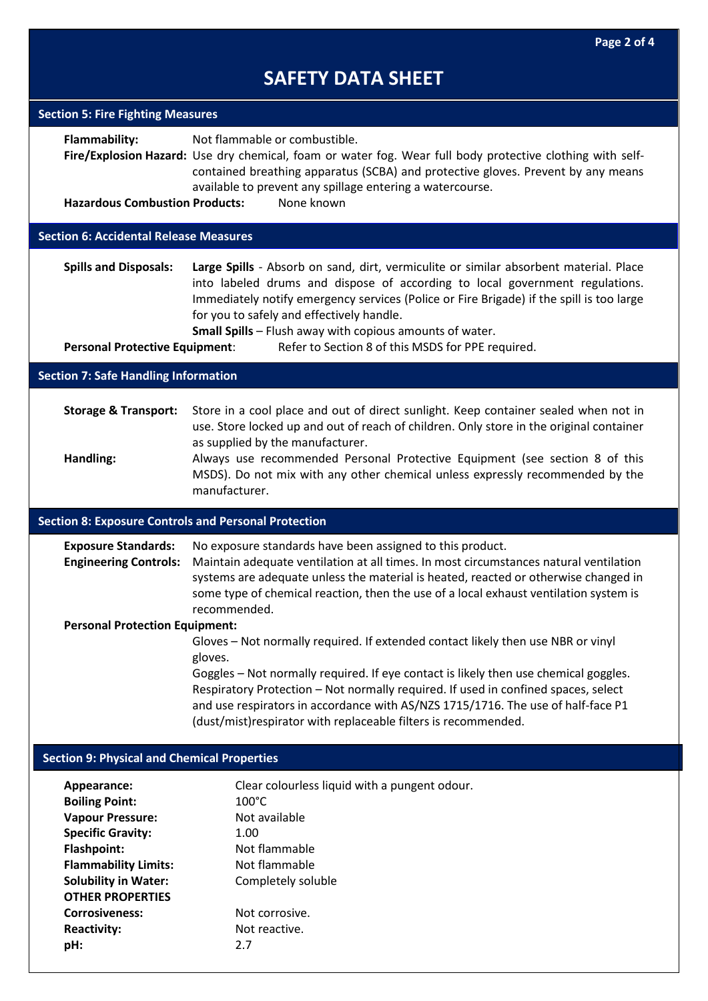| <b>Section 5: Fire Fighting Measures</b>                                                                                                                                                                                                                         |                                                                                                                                                                                                                                                                                                                                                                                                                                 |
|------------------------------------------------------------------------------------------------------------------------------------------------------------------------------------------------------------------------------------------------------------------|---------------------------------------------------------------------------------------------------------------------------------------------------------------------------------------------------------------------------------------------------------------------------------------------------------------------------------------------------------------------------------------------------------------------------------|
| <b>Flammability:</b><br><b>Hazardous Combustion Products:</b>                                                                                                                                                                                                    | Not flammable or combustible.<br>Fire/Explosion Hazard: Use dry chemical, foam or water fog. Wear full body protective clothing with self-<br>contained breathing apparatus (SCBA) and protective gloves. Prevent by any means<br>available to prevent any spillage entering a watercourse.<br>None known                                                                                                                       |
| <b>Section 6: Accidental Release Measures</b>                                                                                                                                                                                                                    |                                                                                                                                                                                                                                                                                                                                                                                                                                 |
| <b>Spills and Disposals:</b><br><b>Personal Protective Equipment:</b>                                                                                                                                                                                            | Large Spills - Absorb on sand, dirt, vermiculite or similar absorbent material. Place<br>into labeled drums and dispose of according to local government regulations.<br>Immediately notify emergency services (Police or Fire Brigade) if the spill is too large<br>for you to safely and effectively handle.<br>Small Spills - Flush away with copious amounts of water.<br>Refer to Section 8 of this MSDS for PPE required. |
| <b>Section 7: Safe Handling Information</b>                                                                                                                                                                                                                      |                                                                                                                                                                                                                                                                                                                                                                                                                                 |
|                                                                                                                                                                                                                                                                  |                                                                                                                                                                                                                                                                                                                                                                                                                                 |
| <b>Storage &amp; Transport:</b><br>Handling:                                                                                                                                                                                                                     | Store in a cool place and out of direct sunlight. Keep container sealed when not in<br>use. Store locked up and out of reach of children. Only store in the original container<br>as supplied by the manufacturer.<br>Always use recommended Personal Protective Equipment (see section 8 of this<br>MSDS). Do not mix with any other chemical unless expressly recommended by the<br>manufacturer.                             |
| <b>Section 8: Exposure Controls and Personal Protection</b>                                                                                                                                                                                                      |                                                                                                                                                                                                                                                                                                                                                                                                                                 |
| <b>Exposure Standards:</b><br><b>Engineering Controls:</b>                                                                                                                                                                                                       | No exposure standards have been assigned to this product.<br>Maintain adequate ventilation at all times. In most circumstances natural ventilation<br>systems are adequate unless the material is heated, reacted or otherwise changed in<br>some type of chemical reaction, then the use of a local exhaust ventilation system is<br>recommended.                                                                              |
| <b>Personal Protection Equipment:</b>                                                                                                                                                                                                                            |                                                                                                                                                                                                                                                                                                                                                                                                                                 |
|                                                                                                                                                                                                                                                                  | Gloves - Not normally required. If extended contact likely then use NBR or vinyl<br>gloves.<br>Goggles - Not normally required. If eye contact is likely then use chemical goggles.<br>Respiratory Protection - Not normally required. If used in confined spaces, select<br>and use respirators in accordance with AS/NZS 1715/1716. The use of half-face P1<br>(dust/mist)respirator with replaceable filters is recommended. |
| <b>Section 9: Physical and Chemical Properties</b>                                                                                                                                                                                                               |                                                                                                                                                                                                                                                                                                                                                                                                                                 |
| Appearance:<br><b>Boiling Point:</b><br><b>Vapour Pressure:</b><br><b>Specific Gravity:</b><br><b>Flashpoint:</b><br><b>Flammability Limits:</b><br><b>Solubility in Water:</b><br><b>OTHER PROPERTIES</b><br><b>Corrosiveness:</b><br><b>Reactivity:</b><br>pH: | Clear colourless liquid with a pungent odour.<br>$100^{\circ}$ C<br>Not available<br>1.00<br>Not flammable<br>Not flammable<br>Completely soluble<br>Not corrosive.<br>Not reactive.<br>2.7                                                                                                                                                                                                                                     |
|                                                                                                                                                                                                                                                                  |                                                                                                                                                                                                                                                                                                                                                                                                                                 |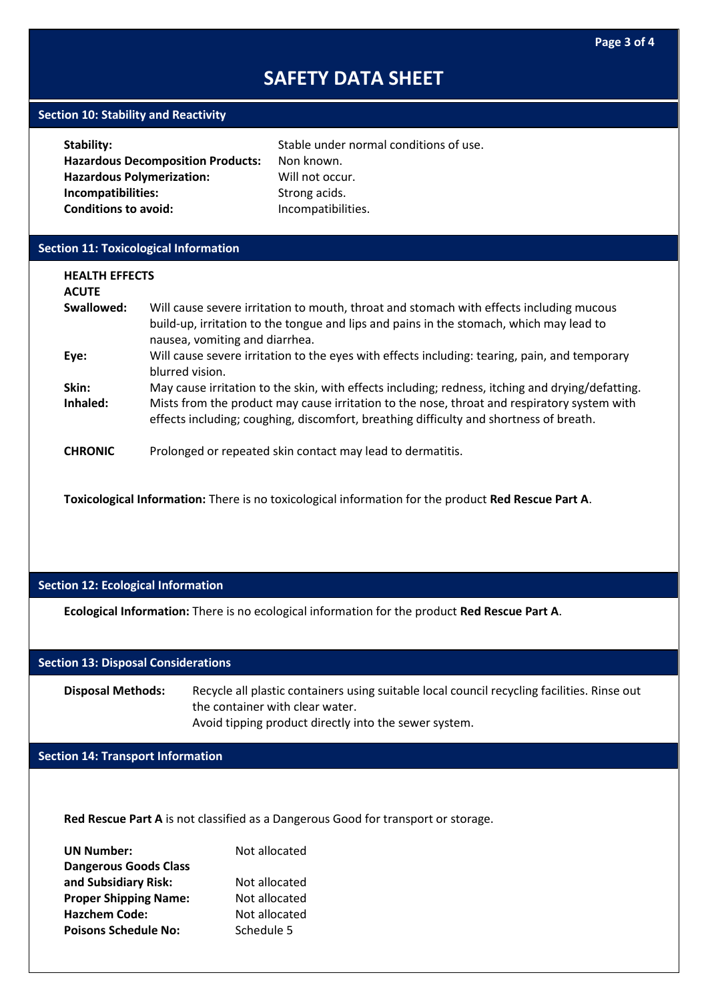### **Section 10: Stability and Reactivity**

| <b>Stability:</b>                        | Stable under normal conditions of use. |
|------------------------------------------|----------------------------------------|
| <b>Hazardous Decomposition Products:</b> | Non known.                             |
| <b>Hazardous Polymerization:</b>         | Will not occur.                        |
| Incompatibilities:                       | Strong acids.                          |
| <b>Conditions to avoid:</b>              | Incompatibilities.                     |
|                                          |                                        |

### **Section 11: Toxicological Information**

| <b>HEALTH EFFECTS</b><br><b>ACUTE</b> |                                                                                                                                                                                                                      |
|---------------------------------------|----------------------------------------------------------------------------------------------------------------------------------------------------------------------------------------------------------------------|
| Swallowed:                            | Will cause severe irritation to mouth, throat and stomach with effects including mucous<br>build-up, irritation to the tongue and lips and pains in the stomach, which may lead to<br>nausea, vomiting and diarrhea. |
| Eye:                                  | Will cause severe irritation to the eyes with effects including: tearing, pain, and temporary<br>blurred vision.                                                                                                     |
| Skin:                                 | May cause irritation to the skin, with effects including; redness, itching and drying/defatting.                                                                                                                     |
| Inhaled:                              | Mists from the product may cause irritation to the nose, throat and respiratory system with<br>effects including; coughing, discomfort, breathing difficulty and shortness of breath.                                |
| <b>CHRONIC</b>                        | Prolonged or repeated skin contact may lead to dermatitis.                                                                                                                                                           |

**Toxicological Information:** There is no toxicological information for the product **Red Rescue Part A**.

### **Section 12: Ecological Information**

**Ecological Information:** There is no ecological information for the product **Red Rescue Part A**.

### **Section 13: Disposal Considerations**

**Disposal Methods:** Recycle all plastic containers using suitable local council recycling facilities. Rinse out the container with clear water. Avoid tipping product directly into the sewer system.

### **Section 14: Transport Information**

**Red Rescue Part A** is not classified as a Dangerous Good for transport or storage.

| <b>UN Number:</b>            | Not allocated |
|------------------------------|---------------|
| <b>Dangerous Goods Class</b> |               |
| and Subsidiary Risk:         | Not allocated |
| <b>Proper Shipping Name:</b> | Not allocated |
| <b>Hazchem Code:</b>         | Not allocated |
| <b>Poisons Schedule No:</b>  | Schedule 5    |